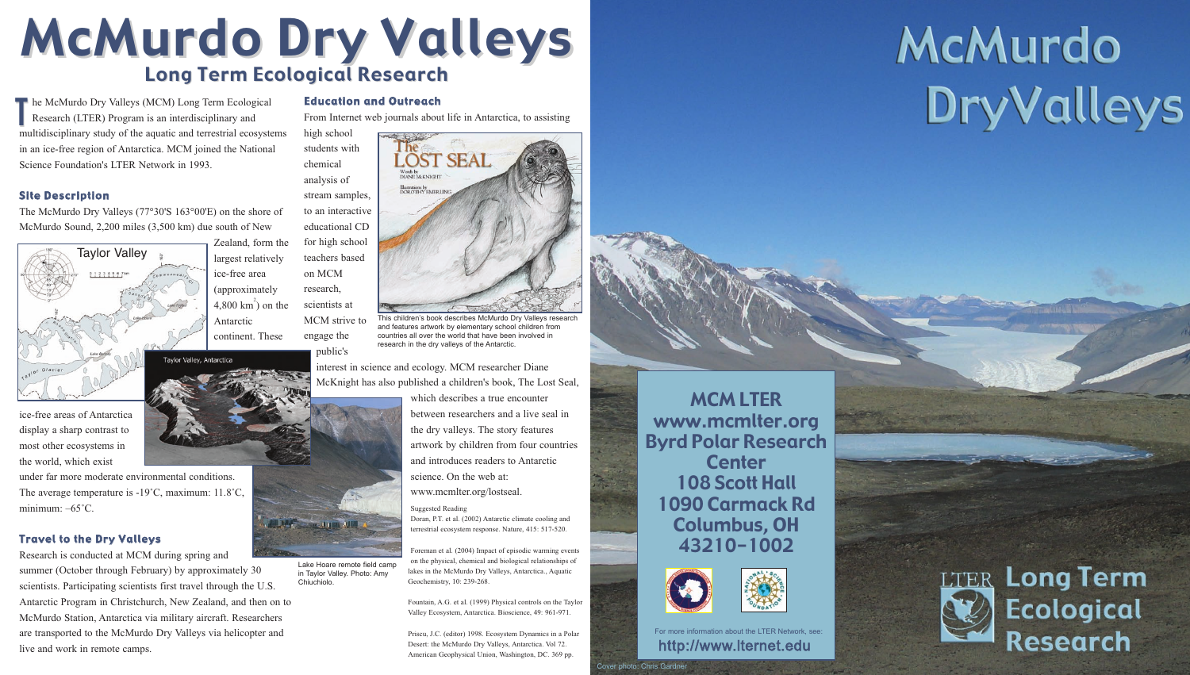### Site Description

The McMurdo Dry Valleys (77°30'S 163°00'E) on the shore of McMurdo Sound, 2,200 miles (3,500 km) due south of New

ice-free area

Antarctic

ice-free areas of Antarctica display a sharp contrast to most other ecosystems in the world, which exist

under far more moderate environmental conditions. The average temperature is -19˚C, maximum: 11.8˚C, minimum: –65˚C.

### Travel to the Dry Valleys

Research is conducted at MCM during spring and summer (October through February) by approximately 30 scientists. Participating scientists first travel through the U.S. Antarctic Program in Christchurch, New Zealand, and then on to McMurdo Station, Antarctica via military aircraft. Researchers are transported to the McMurdo Dry Valleys via helicopter and live and work in remote camps.

MCM LTER www.mcmlter.org Byrd Polar Research **Center** 108 Scott Hall 1090 Carmack Rd Columbus, OH 43210-1002



Zealand, form the largest relatively (approximately  $4,800 \text{ km}^2$ ) on the continent. These high school students with chemical analysis of stream samples, to an interactive educational CD for high school teachers based on MCM research, scientists at MCM strive to engage the

Suggested Reading

## McMurdo Dry Valleys Long Term Ecological Research

he McMurdo Dry Valleys (MCM) Long Term Ecological Research (LTER) Program is an interdisciplinary and multidisciplinary study of the aquatic and terrestrial ecosystems in an ice-free region of Antarctica. MCM joined the National Science Foundation's LTER Network in 1993. T

> Doran, P.T. et al. (2002) Antarctic climate cooling and terrestrial ecosystem response. Nature, 415: 517-520.

Foreman et al. (2004) Impact of episodic warming events on the physical, chemical and biological relationships of lakes in the McMurdo Dry Valleys, Antarctica., Aquatic Geochemistry, 10: 239-268.

Fountain, A.G. et al. (1999) Physical controls on the Taylor Valley Ecosystem, Antarctica. Bioscience, 49: 961-971.

Priscu, J.C. (editor) 1998. Ecosystem Dynamics in a Polar Desert: the McMurdo Dry Valleys, Antarctica. Vol 72. American Geophysical Union, Washington, DC. 369 pp.

### Education and Outreach

From Internet web journals about life in Antarctica, to assisting

public's

interest in science and ecology. MCM researcher Diane McKnight has also published a children's book, The Lost Seal,

> which describes a true encounter between researchers and a live seal in the dry valleys. The story features artwork by children from four countries and introduces readers to Antarctic science. On the web at:

www.mcmlter.org/lostseal.

Lake Hoare remote field camp in Taylor Valley. Photo: Amy

Chiuchiolo.

**Corp., 11, 1120** 

**http://www.lternet.edu** For more information about the LTER Network, see:

# McMurdo DryValleys





Cover photo: Chris Gardner





This children's book describes McMurdo Dry Valleys research and features artwork by elementary school children from countries all over the world that have been involved in research in the dry valleys of the Antarctic.